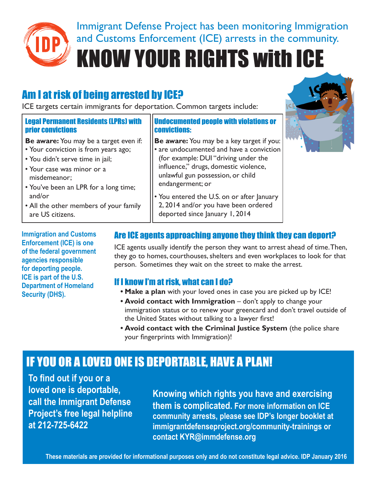

Immigrant Defense Project has been monitoring Immigration **IDP** and Customs Enforcement (ICE) arrests in the community. **28 March St., Suite 301** 

**KNOW YOUR RIGHTS with ICE** 

# Am I at risk of being arrested by ICE?

ICE targets certain immigrants for deportation. Common targets include:

#### Legal Permanent Residents (LPRs) with prior convictions

- **Be aware:** You may be a target even if:
- Your conviction is from years ago;
- You didn't serve time in jail;
- Your case was minor or a misdemeanor;
- You've been an LPR for a long time; and/or
- All the other members of your family are US citizens.

**Immigration and Customs Enforcement (ICE) is one of the federal government agencies responsible for deporting people. ICE is part of the U.S. Department of Homeland Security (DHS).**

#### Undocumented people with violations or convictions:

- **Be aware:** You may be a key target if you: • are undocumented and have a conviction (for example: DUI "driving under the influence," drugs, domestic violence, unlawful gun possession, or child endangerment; or
- You entered the U.S. on or after January 2, 2014 and/or you have been ordered deported since January 1, 2014



#### Are ICE agents approaching anyone they think they can deport?

ICE agents usually identify the person they want to arrest ahead of time. Then, they go to homes, courthouses, shelters and even workplaces to look for that person. Sometimes they wait on the street to make the arrest.

#### If I know I'm at risk, what can I do?

- **• Make a plan** with your loved ones in case you are picked up by ICE!
- **• Avoid contact with Immigration** don't apply to change your immigration status or to renew your greencard and don't travel outside of the United States without talking to a lawyer first!
- **• Avoid contact with the Criminal Justice System** (the police share your fingerprints with Immigration)!

# IF YOU OR A LOVED ONE IS DEPORTABLE, HAVE A PLAN!

**To find out if you or a loved one is deportable, call the Immigrant Defense Project's free legal helpline at 212-725-6422**

**Knowing which rights you have and exercising them is complicated. For more information on ICE community arrests, please see IDP's longer booklet at immigrantdefenseproject.org/community-trainings or contact KYR@immdefense.org**

**These materials are provided for informational purposes only and do not constitute legal advice. IDP January 2016**